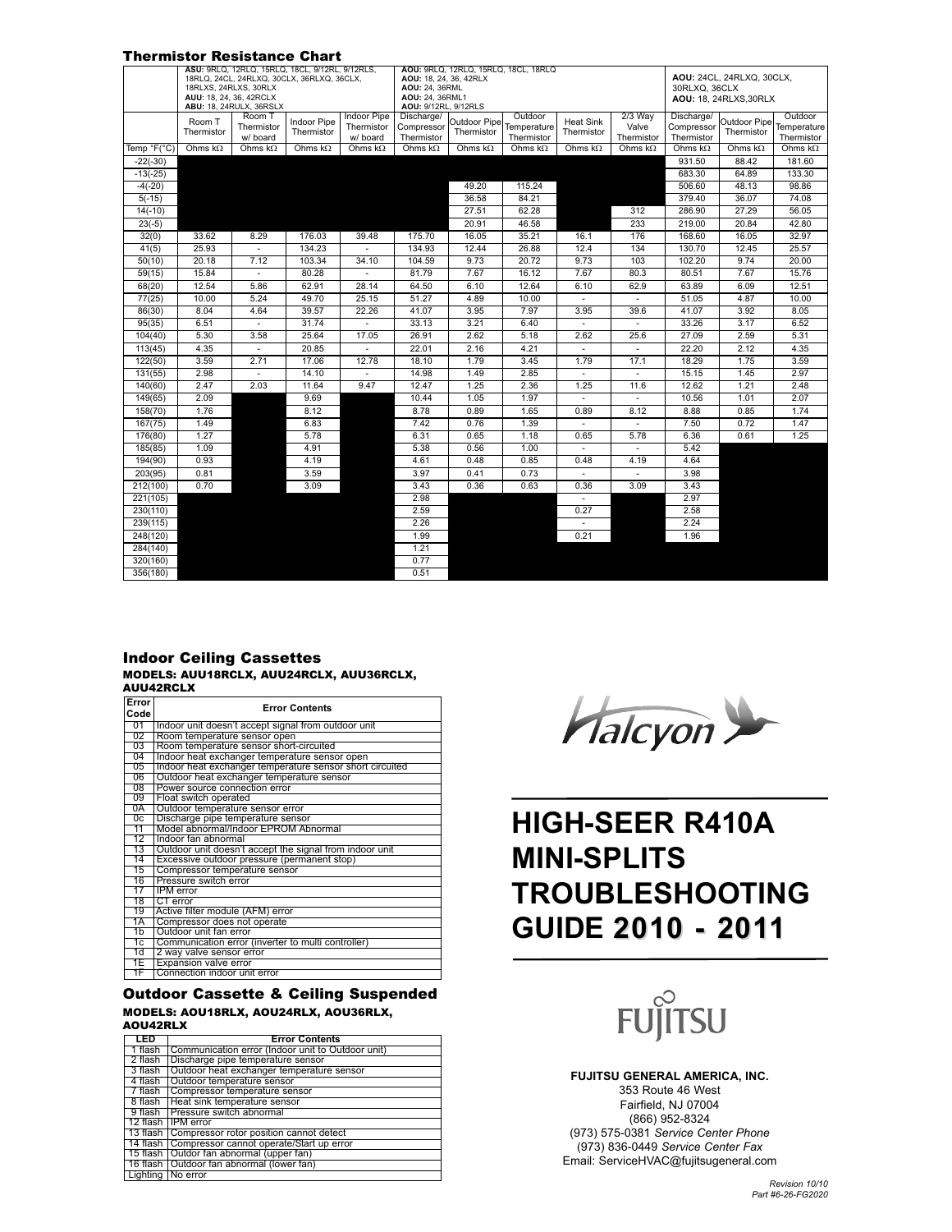|             |                      |                                                                                    | <b>Thermistor Resistance Chart</b>                                                            |                                              |                                                                                                                                    |                            |                                      |                                |                                  |                                                                      |                            |                                      |
|-------------|----------------------|------------------------------------------------------------------------------------|-----------------------------------------------------------------------------------------------|----------------------------------------------|------------------------------------------------------------------------------------------------------------------------------------|----------------------------|--------------------------------------|--------------------------------|----------------------------------|----------------------------------------------------------------------|----------------------------|--------------------------------------|
|             |                      | 18RLXS, 24RLXS, 30RLX<br>AUU: 18, 24, 36, 42RCLX<br><b>ABU: 18, 24RULX, 36RSLX</b> | ASU: 9RLQ, 12RLQ, 15RLQ, 18CL, 9/12RL, 9/12RLS,<br>18RLQ, 24CL, 24RLXQ, 30CLX, 36RLXQ, 36CLX, |                                              | AOU: 9RLQ, 12RLQ, 15RLQ, 18CL, 18RLQ<br>AOU: 18, 24, 36, 42RLX<br><b>AOU: 24, 36RML</b><br>AOU: 24, 36RML1<br>AOU: 9/12RL, 9/12RLS |                            |                                      |                                |                                  | AOU: 24CL, 24RLXQ, 30CLX,<br>30RLXQ, 36CLX<br>AOU: 18, 24RLXS, 30RLX |                            |                                      |
|             | Room T<br>Thermistor | Room <sup>-</sup><br>Thermistor<br>w/ board                                        | <b>Indoor Pipe</b><br>Thermistor                                                              | <b>Indoor Pipe</b><br>Thermistor<br>w/ board | Discharge/<br>Compressor<br>Thermistor                                                                                             | Outdoor Pipe<br>Thermistor | Outdoor<br>Temperature<br>Thermistor | <b>Heat Sink</b><br>Thermistor | $2/3$ Way<br>Valve<br>Thermistor | Discharge/<br>Compressor<br>Thermistor                               | Outdoor Pipe<br>Thermistor | Outdoor<br>Temperature<br>Thermistor |
| Temp °F(°C) | Ohms $k\Omega$       | Ohms $k\Omega$                                                                     | Ohms $k\Omega$                                                                                | Ohms $k\Omega$                               | Ohms $k\Omega$                                                                                                                     | Ohms $k\Omega$             | Ohms $k\Omega$                       | Ohms $k\Omega$                 | Ohms $k\Omega$                   | Ohms $k\Omega$                                                       | Ohms $k\Omega$             | Ohms $k\Omega$                       |
| $-22(-30)$  |                      |                                                                                    |                                                                                               |                                              |                                                                                                                                    |                            |                                      |                                |                                  | 931.50                                                               | 88.42                      | 181.60                               |
| $-13(-25)$  |                      |                                                                                    |                                                                                               |                                              |                                                                                                                                    |                            |                                      |                                |                                  | 683.30                                                               | 64.89                      | 133.30                               |
| $-4(-20)$   |                      |                                                                                    |                                                                                               |                                              |                                                                                                                                    | 49.20                      | 115.24                               |                                |                                  | 506.60                                                               | 48.13                      | 98.86                                |
| $5(-15)$    |                      |                                                                                    |                                                                                               |                                              |                                                                                                                                    | 36.58                      | 84.21                                |                                |                                  | 379.40                                                               | 36.07                      | 74.08                                |
| $14(-10)$   |                      |                                                                                    |                                                                                               |                                              |                                                                                                                                    | 27.51                      | 62.28                                |                                | 312                              | 286.90                                                               | 27.29                      | 56.05                                |
| $23(-5)$    |                      |                                                                                    |                                                                                               |                                              |                                                                                                                                    | 20.91                      | 46.58                                |                                | 233                              | 219.00                                                               | 20.84                      | 42.80                                |
| 32(0)       | 33.62                | 8.29                                                                               | 176.03                                                                                        | 39.48                                        | 175.70                                                                                                                             | 16.05                      | 35.21                                | 16.1                           | 176                              | 168.60                                                               | 16.05                      | 32.97                                |
| 41(5)       | 25.93                | $\overline{\phantom{a}}$                                                           | 134.23                                                                                        | $\sim$                                       | 134.93                                                                                                                             | 12.44                      | 26.88                                | 12.4                           | 134                              | 130.70                                                               | 12.45                      | 25.57                                |
| 50(10)      | 20.18                | 7.12                                                                               | 103.34                                                                                        | 34.10                                        | 104.59                                                                                                                             | 9.73                       | 20.72                                | 9.73                           | 103                              | 102.20                                                               | 9.74                       | 20.00                                |
| 59(15)      | 15.84                | $\overline{\phantom{a}}$                                                           | 80.28                                                                                         | ÷.                                           | 81.79                                                                                                                              | 7.67                       | 16.12                                | 7.67                           | 80.3                             | 80.51                                                                | 7.67                       | 15.76                                |
| 68(20)      | 12.54                | 5.86                                                                               | 62.91                                                                                         | 28.14                                        | 64.50                                                                                                                              | 6.10                       | 12.64                                | 6.10                           | 62.9                             | 63.89                                                                | 6.09                       | 12.51                                |
| 77(25)      | 10.00                | 5.24                                                                               | 49.70                                                                                         | 25.15                                        | 51.27                                                                                                                              | 4.89                       | 10.00                                |                                |                                  | 51.05                                                                | 4.87                       | 10.00                                |
| 86(30)      | 8.04                 | 4.64                                                                               | 39.57                                                                                         | 22.26                                        | 41.07                                                                                                                              | 3.95                       | 7.97                                 | 3.95                           | 39.6                             | 41.07                                                                | 3.92                       | 8.05                                 |
| 95(35)      | 6.51                 |                                                                                    | 31.74                                                                                         |                                              | 33.13                                                                                                                              | 3.21                       | 6.40                                 |                                |                                  | 33.26                                                                | 3.17                       | 6.52                                 |
| 104(40)     | 5.30                 | 3.58                                                                               | 25.64                                                                                         | 17.05                                        | 26.91                                                                                                                              | 2.62                       | 5.18                                 | 2.62                           | 25.6                             | 27.09                                                                | 2.59                       | 5.31                                 |
| 113(45)     | 4.35                 | $\overline{\phantom{a}}$                                                           | 20.85                                                                                         |                                              | 22.01                                                                                                                              | 2.16                       | 4.21                                 | ä,                             | $\overline{\phantom{a}}$         | 22.20                                                                | 2.12                       | 4.35                                 |
| 122(50)     | 3.59                 | 2.71                                                                               | 17.06                                                                                         | 12.78                                        | 18.10                                                                                                                              | 1.79                       | 3.45                                 | 1.79                           | 17.1                             | 18.29                                                                | 1.75                       | 3.59                                 |
| 131(55)     | 2.98                 |                                                                                    | 14.10                                                                                         |                                              | 14.98                                                                                                                              | 1.49                       | 2.85                                 |                                |                                  | 15.15                                                                | 1.45                       | 2.97                                 |
| 140(60)     | 2.47                 | 2.03                                                                               | 11.64                                                                                         | 9.47                                         | 12.47                                                                                                                              | 1.25                       | 2.36                                 | 1.25                           | 11.6                             | 12.62                                                                | 1.21                       | 2.48                                 |
| 149(65)     | 2.09                 |                                                                                    | 9.69                                                                                          |                                              | 10.44                                                                                                                              | 1.05                       | 1.97                                 |                                | $\overline{\phantom{a}}$         | 10.56                                                                | 1.01                       | 2.07                                 |
| 158(70)     | 1.76                 |                                                                                    | 8.12                                                                                          |                                              | 8.78                                                                                                                               | 0.89                       | 1.65                                 | 0.89                           | 8.12                             | 8.88                                                                 | 0.85                       | 1.74                                 |
| 167(75)     | 1.49                 |                                                                                    | 6.83                                                                                          |                                              | 7.42                                                                                                                               | 0.76                       | 1.39                                 |                                |                                  | 7.50                                                                 | 0.72                       | 1.47                                 |
| 176(80)     | 1.27                 |                                                                                    | 5.78                                                                                          |                                              | 6.31                                                                                                                               | 0.65                       | 1.18                                 | 0.65                           | 5.78                             | 6.36                                                                 | 0.61                       | 1.25                                 |
| 185(85)     | 1.09                 |                                                                                    | 4.91                                                                                          |                                              | 5.38                                                                                                                               | 0.56                       | 1.00                                 | $\overline{\phantom{0}}$       | $\overline{\phantom{a}}$         | 5.42                                                                 |                            |                                      |
| 194(90)     | 0.93                 |                                                                                    | 4.19                                                                                          |                                              | 4.61                                                                                                                               | 0.48                       | 0.85                                 | 0.48                           | 4.19                             | 4.64                                                                 |                            |                                      |
| 203(95)     | 0.81                 |                                                                                    | 3.59                                                                                          |                                              | 3.97                                                                                                                               | 0.41                       | 0.73                                 | ٠                              | $\sim$                           | 3.98                                                                 |                            |                                      |
| 212(100)    | 0.70                 |                                                                                    | 3.09                                                                                          |                                              | 3.43                                                                                                                               | 0.36                       | 0.63                                 | 0.36                           | 3.09                             | 3.43                                                                 |                            |                                      |
| 221(105)    |                      |                                                                                    |                                                                                               |                                              | 2.98                                                                                                                               |                            |                                      | $\overline{\phantom{0}}$       |                                  | 2.97                                                                 |                            |                                      |
| 230(110)    |                      |                                                                                    |                                                                                               |                                              | 2.59                                                                                                                               |                            |                                      | 0.27                           |                                  | 2.58                                                                 |                            |                                      |
| 239(115)    |                      |                                                                                    |                                                                                               |                                              | 2.26                                                                                                                               |                            |                                      | ٠                              |                                  | 2.24                                                                 |                            |                                      |
| 248(120)    |                      |                                                                                    |                                                                                               |                                              | 1.99                                                                                                                               |                            |                                      | 0.21                           |                                  | 1.96                                                                 |                            |                                      |
| 284(140)    |                      |                                                                                    |                                                                                               |                                              | 1.21                                                                                                                               |                            |                                      |                                |                                  |                                                                      |                            |                                      |
| 320(160)    |                      |                                                                                    |                                                                                               |                                              | 0.77                                                                                                                               |                            |                                      |                                |                                  |                                                                      |                            |                                      |
| 356(180)    |                      |                                                                                    |                                                                                               |                                              | 0.51                                                                                                                               |                            |                                      |                                |                                  |                                                                      |                            |                                      |

#### MODELS: AUU18RCLX, AUU24RCLX, AUU36RCLX, AUU42RCLX Indoor Ceiling Cassettes

| Error           |                                                          |  |  |  |  |  |  |  |
|-----------------|----------------------------------------------------------|--|--|--|--|--|--|--|
| Code            | <b>Error Contents</b>                                    |  |  |  |  |  |  |  |
| 01              |                                                          |  |  |  |  |  |  |  |
|                 | Indoor unit doesn't accept signal from outdoor unit      |  |  |  |  |  |  |  |
| 02              | Room temperature sensor open                             |  |  |  |  |  |  |  |
| $\overline{03}$ | Room temperature sensor short-circuited                  |  |  |  |  |  |  |  |
| 04              | Indoor heat exchanger temperature sensor open            |  |  |  |  |  |  |  |
| 05              | Indoor heat exchanger temperature sensor short circuited |  |  |  |  |  |  |  |
| $\overline{06}$ | Outdoor heat exchanger temperature sensor                |  |  |  |  |  |  |  |
| $\overline{08}$ | Power source connection error                            |  |  |  |  |  |  |  |
| 09              | Float switch operated                                    |  |  |  |  |  |  |  |
| 0A              | Outdoor temperature sensor error                         |  |  |  |  |  |  |  |
| 0c              | Discharge pipe temperature sensor                        |  |  |  |  |  |  |  |
| 11              | Model abnormal/Indoor EPROM Abnormal                     |  |  |  |  |  |  |  |
| $\overline{12}$ | Indoor fan abnormal                                      |  |  |  |  |  |  |  |
| $\overline{13}$ | Outdoor unit doesn't accept the signal from indoor unit  |  |  |  |  |  |  |  |
| 14              | Excessive outdoor pressure (permanent stop)              |  |  |  |  |  |  |  |
| $\overline{15}$ | Compressor temperature sensor                            |  |  |  |  |  |  |  |
| 16              | Pressure switch error                                    |  |  |  |  |  |  |  |
| 17              | <b>IPM</b> error                                         |  |  |  |  |  |  |  |
| 18              | CT error                                                 |  |  |  |  |  |  |  |
| 19              | Active filter module (AFM) error                         |  |  |  |  |  |  |  |
| 1A              | Compressor does not operate                              |  |  |  |  |  |  |  |
| $\overline{1}$  | Outdoor unit fan error                                   |  |  |  |  |  |  |  |
| 1c              | Communication error (inverter to multi controller)       |  |  |  |  |  |  |  |
| 1d              | 2 way valve sensor error                                 |  |  |  |  |  |  |  |
| 1E              | <b>Expansion valve error</b>                             |  |  |  |  |  |  |  |
| 1F              | Connection indoor unit error                             |  |  |  |  |  |  |  |

#### Outdoor Cassette & Ceiling Suspended

MODELS: AOU18RLX, AOU24RLX, AOU36RLX, AOU42RLX

| LED     | <b>Error Contents</b>                               |  |  |  |  |  |  |
|---------|-----------------------------------------------------|--|--|--|--|--|--|
| 1 flash | Communication error (Indoor unit to Outdoor unit)   |  |  |  |  |  |  |
| 2 flash | Discharge pipe temperature sensor                   |  |  |  |  |  |  |
| 3 flash | Outdoor heat exchanger temperature sensor           |  |  |  |  |  |  |
| 4 flash | Outdoor temperature sensor                          |  |  |  |  |  |  |
| 7 flash | Compressor temperature sensor                       |  |  |  |  |  |  |
| 8 flash | Heat sink temperature sensor                        |  |  |  |  |  |  |
| 9 flash | <b>Pressure switch abnormal</b>                     |  |  |  |  |  |  |
|         | 12 flash IPM error                                  |  |  |  |  |  |  |
|         | 13 flash Compressor rotor position cannot detect    |  |  |  |  |  |  |
|         | 14 flash   Compressor cannot operate/Start up error |  |  |  |  |  |  |
|         | 15 flash Outdor fan abnormal (upper fan)            |  |  |  |  |  |  |
|         | 16 flash Outdoor fan abnormal (lower fan)           |  |  |  |  |  |  |
|         | Lighting   No error                                 |  |  |  |  |  |  |

**Halcyon** 

# **HIGH-SEER R410A MINI-SPLITS TROUBLESHOOTING GUIDE 2010 - 2011 2010 - 2011**



**FUJITSU GENERAL AMERICA, INC.** 353 Route 46 West Fairfield, NJ 07004 (866) 952-8324 (973) 575-0381 *Service Center Phone* (973) 836-0449 *Service Center Fax* Email: ServiceHVAC@fujitsugeneral.com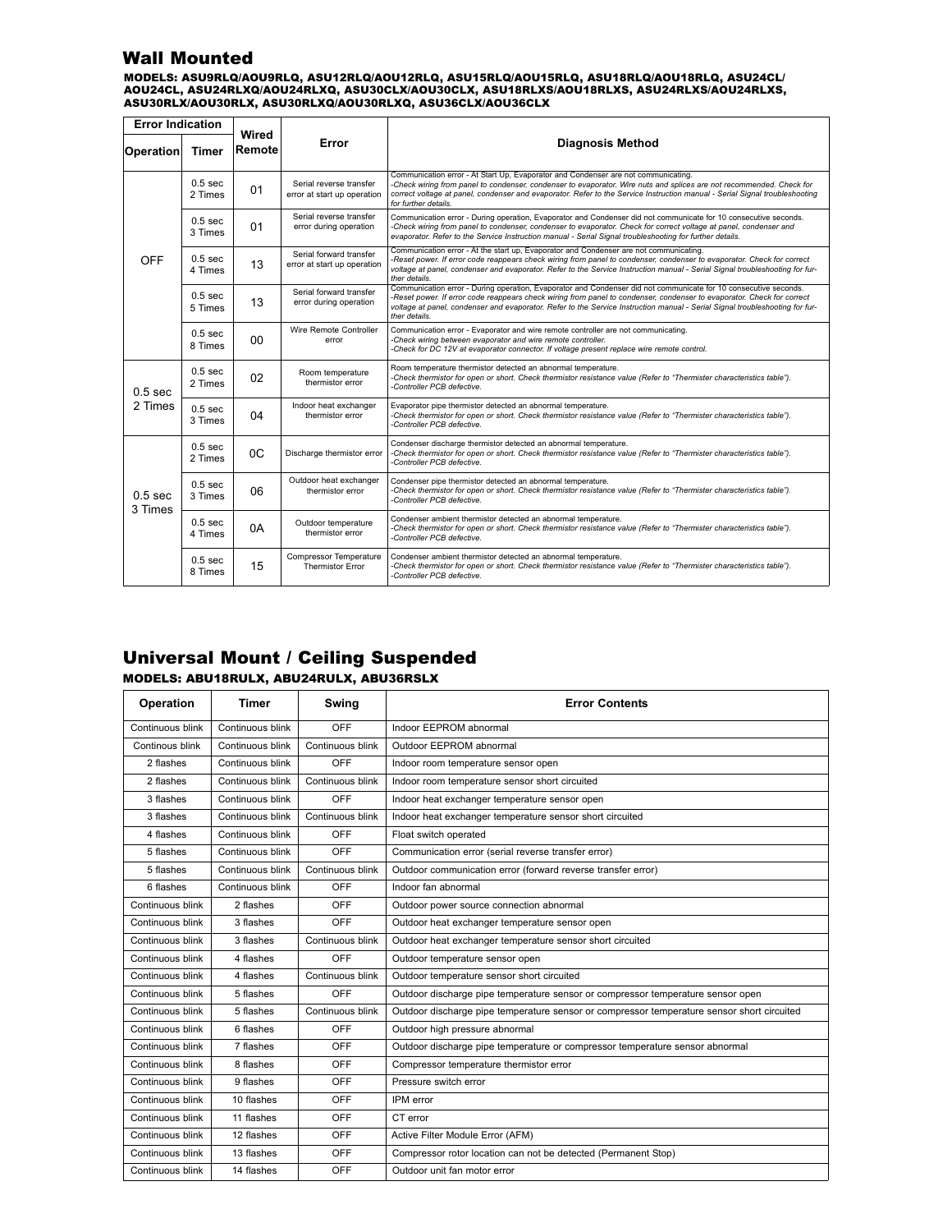## Wall Mounted

MODELS: ASU9RLQ/AOU9RLQ, ASU12RLQ/AOU12RLQ, ASU15RLQ/AOU15RLQ, ASU18RLQ/AOU18RLQ, ASU24CL/ AOU24CL, ASU24RLXQ/AOU24RLXQ, ASU30CLX/AOU30CLX, ASU18RLXS/AOU18RLXS, ASU24RLXS/AOU24RLXS, ASU30RLX/AOU30RLX, ASU30RLXQ/AOU30RLXQ, ASU36CLX/AOU36CLX

| <b>Error Indication</b>                                                    |                               |                 |                                                        |                                                                                                                                                                                                                                                                                                                                                                                             |  |  |  |  |
|----------------------------------------------------------------------------|-------------------------------|-----------------|--------------------------------------------------------|---------------------------------------------------------------------------------------------------------------------------------------------------------------------------------------------------------------------------------------------------------------------------------------------------------------------------------------------------------------------------------------------|--|--|--|--|
| Operation                                                                  | <b>Timer</b>                  | Wired<br>Remote | Error                                                  | <b>Diagnosis Method</b>                                                                                                                                                                                                                                                                                                                                                                     |  |  |  |  |
|                                                                            | $0.5$ sec<br>2 Times          | 01              | Serial reverse transfer<br>error at start up operation | Communication error - At Start Up, Evaporator and Condenser are not communicating.<br>-Check wiring from panel to condenser, condenser to evaporator. Wire nuts and splices are not recommended. Check for<br>correct voltage at panel, condenser and evaporator. Refer to the Service Instruction manual - Serial Signal troubleshooting<br>for further details.                           |  |  |  |  |
|                                                                            | $0.5$ sec<br>3 Times          | 01              | Serial reverse transfer<br>error during operation      | Communication error - During operation, Evaporator and Condenser did not communicate for 10 consecutive seconds.<br>-Check wiring from panel to condenser, condenser to evaporator. Check for correct voltage at panel, condenser and<br>evaporator. Refer to the Service Instruction manual - Serial Signal troubleshooting for further details.                                           |  |  |  |  |
| <b>OFF</b>                                                                 | $0.5$ sec<br>4 Times          | 13              | Serial forward transfer<br>error at start up operation | Communication error - At the start up, Evaporator and Condenser are not communicating.<br>-Reset power. If error code reappears check wiring from panel to condenser, condenser to evaporator. Check for correct<br>voltage at panel, condenser and evaporator. Refer to the Service Instruction manual - Serial Signal troubleshooting for fur-<br>ther details.                           |  |  |  |  |
|                                                                            | $0.5$ sec<br>5 Times          | 13              | Serial forward transfer<br>error during operation      | Communication error - During operation, Evaporator and Condenser did not communicate for 10 consecutive seconds.<br>-Reset power. If error code reappears check wiring from panel to condenser, condenser to evaporator. Check for correct<br>voltage at panel, condenser and evaporator. Refer to the Service Instruction manual - Serial Signal troubleshooting for fur-<br>ther details. |  |  |  |  |
| Wire Remote Controller<br>0.5 <sub>sec</sub><br>$00\,$<br>error<br>8 Times |                               |                 |                                                        | Communication error - Evaporator and wire remote controller are not communicating.<br>-Check wiring between evaporator and wire remote controller.<br>-Check for DC 12V at evaporator connector. If voltage present replace wire remote control.                                                                                                                                            |  |  |  |  |
| $0.5$ sec                                                                  | 0.5 <sub>sec</sub><br>2 Times | 02              | Room temperature<br>thermistor error                   | Room temperature thermistor detected an abnormal temperature.<br>-Check thermistor for open or short. Check thermistor resistance value (Refer to "Thermister characteristics table").<br>-Controller PCB defective.                                                                                                                                                                        |  |  |  |  |
| 2 Times                                                                    | 0.5 <sub>sec</sub><br>3 Times | 04              | Indoor heat exchanger<br>thermistor error              | Evaporator pipe thermistor detected an abnormal temperature.<br>-Check thermistor for open or short. Check thermistor resistance value (Refer to "Thermister characteristics table").<br>-Controller PCB defective.                                                                                                                                                                         |  |  |  |  |
|                                                                            | $0.5$ sec<br>2 Times          |                 | Discharge thermistor error                             | Condenser discharge thermistor detected an abnormal temperature.<br>-Check thermistor for open or short. Check thermistor resistance value (Refer to "Thermister characteristics table").<br>-Controller PCB defective.                                                                                                                                                                     |  |  |  |  |
| 0.5 <sub>sec</sub><br>3 Times                                              | 0.5 <sub>sec</sub><br>3 Times | 06              | Outdoor heat exchanger<br>thermistor error             | Condenser pipe thermistor detected an abnormal temperature.<br>-Check thermistor for open or short. Check thermistor resistance value (Refer to "Thermister characteristics table").<br>-Controller PCB defective.                                                                                                                                                                          |  |  |  |  |
|                                                                            | $0.5$ sec<br>4 Times          | 0A              | Outdoor temperature<br>thermistor error                | Condenser ambient thermistor detected an abnormal temperature.<br>-Check thermistor for open or short. Check thermistor resistance value (Refer to "Thermister characteristics table").<br>-Controller PCB defective.                                                                                                                                                                       |  |  |  |  |
|                                                                            | 0.5 <sub>sec</sub><br>8 Times | 15              | Compressor Temperature<br><b>Thermistor Error</b>      | Condenser ambient thermistor detected an abnormal temperature.<br>-Check thermistor for open or short. Check thermistor resistance value (Refer to "Thermister characteristics table").<br>-Controller PCB defective.                                                                                                                                                                       |  |  |  |  |

## Universal Mount / Ceiling Suspended

#### MODELS: ABU18RULX, ABU24RULX, ABU36RSLX

| <b>Operation</b> | Timer            | Swing            | <b>Error Contents</b>                                                                      |  |  |  |
|------------------|------------------|------------------|--------------------------------------------------------------------------------------------|--|--|--|
| Continuous blink | Continuous blink | OFF              | Indoor EEPROM abnormal                                                                     |  |  |  |
| Continous blink  | Continuous blink | Continuous blink | Outdoor EEPROM abnormal                                                                    |  |  |  |
| 2 flashes        | Continuous blink | OFF              | Indoor room temperature sensor open                                                        |  |  |  |
| 2 flashes        | Continuous blink | Continuous blink | Indoor room temperature sensor short circuited                                             |  |  |  |
| 3 flashes        | Continuous blink | OFF              | Indoor heat exchanger temperature sensor open                                              |  |  |  |
| 3 flashes        | Continuous blink | Continuous blink | Indoor heat exchanger temperature sensor short circuited                                   |  |  |  |
| 4 flashes        | Continuous blink | OFF              | Float switch operated                                                                      |  |  |  |
| 5 flashes        | Continuous blink | OFF              | Communication error (serial reverse transfer error)                                        |  |  |  |
| 5 flashes        | Continuous blink | Continuous blink | Outdoor communication error (forward reverse transfer error)                               |  |  |  |
| 6 flashes        | Continuous blink | OFF              | Indoor fan abnormal                                                                        |  |  |  |
| Continuous blink | 2 flashes        | OFF              | Outdoor power source connection abnormal                                                   |  |  |  |
| Continuous blink | 3 flashes        | OFF              | Outdoor heat exchanger temperature sensor open                                             |  |  |  |
| Continuous blink | 3 flashes        | Continuous blink | Outdoor heat exchanger temperature sensor short circuited                                  |  |  |  |
| Continuous blink | 4 flashes        | OFF              | Outdoor temperature sensor open                                                            |  |  |  |
| Continuous blink | 4 flashes        | Continuous blink | Outdoor temperature sensor short circuited                                                 |  |  |  |
| Continuous blink | 5 flashes        | OFF              | Outdoor discharge pipe temperature sensor or compressor temperature sensor open            |  |  |  |
| Continuous blink | 5 flashes        | Continuous blink | Outdoor discharge pipe temperature sensor or compressor temperature sensor short circuited |  |  |  |
| Continuous blink | 6 flashes        | OFF              | Outdoor high pressure abnormal                                                             |  |  |  |
| Continuous blink | 7 flashes        | OFF              | Outdoor discharge pipe temperature or compressor temperature sensor abnormal               |  |  |  |
| Continuous blink | 8 flashes        | OFF              | Compressor temperature thermistor error                                                    |  |  |  |
| Continuous blink | 9 flashes        | OFF              | Pressure switch error                                                                      |  |  |  |
| Continuous blink | 10 flashes       | OFF              | IPM error                                                                                  |  |  |  |
| Continuous blink | 11 flashes       | OFF              | CT error                                                                                   |  |  |  |
| Continuous blink | 12 flashes       | OFF              | Active Filter Module Error (AFM)                                                           |  |  |  |
| Continuous blink | 13 flashes       | OFF              | Compressor rotor location can not be detected (Permanent Stop)                             |  |  |  |
| Continuous blink | 14 flashes       | OFF              | Outdoor unit fan motor error                                                               |  |  |  |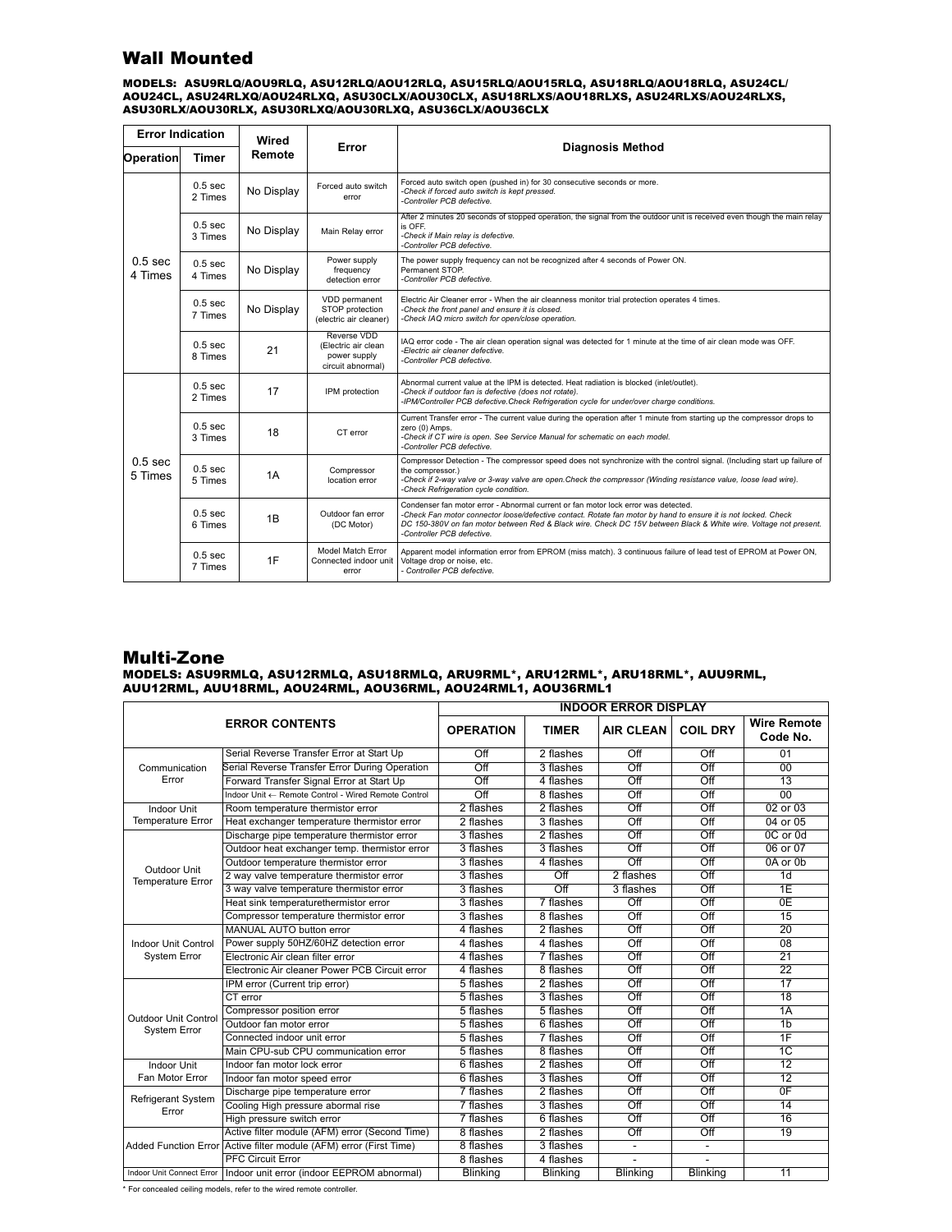## Wall Mounted

MODELS: ASU9RLQ/AOU9RLQ, ASU12RLQ/AOU12RLQ, ASU15RLQ/AOU15RLQ, ASU18RLQ/AOU18RLQ, ASU24CL/ AOU24CL, ASU24RLXQ/AOU24RLXQ, ASU30CLX/AOU30CLX, ASU18RLXS/AOU18RLXS, ASU24RLXS/AOU24RLXS, ASU30RLX/AOU30RLX, ASU30RLXQ/AOU30RLXQ, ASU36CLX/AOU36CLX

| <b>Error Indication</b>       |                               | Wired                                 |                                                                         |                                                                                                                                                                                                                                                                                                                                                        |  |  |  |
|-------------------------------|-------------------------------|---------------------------------------|-------------------------------------------------------------------------|--------------------------------------------------------------------------------------------------------------------------------------------------------------------------------------------------------------------------------------------------------------------------------------------------------------------------------------------------------|--|--|--|
| <b>Operation</b>              | <b>Timer</b>                  | Remote                                | Error                                                                   | <b>Diagnosis Method</b>                                                                                                                                                                                                                                                                                                                                |  |  |  |
|                               | $0.5$ sec<br>2 Times          | No Display                            | Forced auto switch<br>error                                             | Forced auto switch open (pushed in) for 30 consecutive seconds or more.<br>-Check if forced auto switch is kept pressed.<br>-Controller PCB defective.                                                                                                                                                                                                 |  |  |  |
| 0.5 <sub>sec</sub><br>4 Times | 0.5 <sub>sec</sub><br>3 Times | No Display                            | Main Relay error                                                        | After 2 minutes 20 seconds of stopped operation, the signal from the outdoor unit is received even though the main relay<br>is OFF.<br>-Check if Main relay is defective.<br>-Controller PCB defective.                                                                                                                                                |  |  |  |
|                               | 0.5 <sub>sec</sub><br>4 Times | No Display                            | Power supply<br>frequency<br>detection error                            | The power supply frequency can not be recognized after 4 seconds of Power ON.<br>Permanent STOP.<br>-Controller PCB defective.                                                                                                                                                                                                                         |  |  |  |
|                               | $0.5$ sec<br>7 Times          | No Display                            | VDD permanent<br>STOP protection<br>(electric air cleaner)              | Electric Air Cleaner error - When the air cleanness monitor trial protection operates 4 times.<br>-Check the front panel and ensure it is closed.<br>-Check IAQ micro switch for open/close operation.                                                                                                                                                 |  |  |  |
|                               | $0.5$ sec<br>8 Times          | 21                                    | Reverse VDD<br>(Electric air clean<br>power supply<br>circuit abnormal) | IAQ error code - The air clean operation signal was detected for 1 minute at the time of air clean mode was OFF.<br>-Electric air cleaner defective.<br>-Controller PCB defective.                                                                                                                                                                     |  |  |  |
|                               | $0.5$ sec<br>2 Times          | 17                                    | IPM protection                                                          | Abnormal current value at the IPM is detected. Heat radiation is blocked (inlet/outlet).<br>-Check if outdoor fan is defective (does not rotate).<br>-IPM/Controller PCB defective. Check Refrigeration cycle for under/over charge conditions.                                                                                                        |  |  |  |
|                               | $0.5$ sec<br>3 Times          | 18<br>CT error                        |                                                                         | Current Transfer error - The current value during the operation after 1 minute from starting up the compressor drops to<br>zero (0) Amps.<br>-Check if CT wire is open. See Service Manual for schematic on each model.<br>-Controller PCB defective.                                                                                                  |  |  |  |
| $0.5$ sec<br>5 Times          | 0.5 <sub>sec</sub><br>5 Times | 1A                                    | Compressor<br>location error                                            | Compressor Detection - The compressor speed does not synchronize with the control signal. (Including start up failure of<br>the compressor.)<br>-Check if 2-way valve or 3-way valve are open. Check the compressor (Winding resistance value, loose lead wire).<br>-Check Refrigeration cycle condition.                                              |  |  |  |
|                               | 0.5 <sub>sec</sub><br>6 Times | Outdoor fan error<br>1B<br>(DC Motor) |                                                                         | Condenser fan motor error - Abnormal current or fan motor lock error was detected.<br>-Check Fan motor connector loose/defective contact. Rotate fan motor by hand to ensure it is not locked. Check<br>DC 150-380V on fan motor between Red & Black wire. Check DC 15V between Black & White wire. Voltage not present.<br>-Controller PCB defective. |  |  |  |
|                               | $0.5$ sec<br>7 Times          | 1F                                    | Model Match Error<br>Connected indoor unit<br>error                     | Apparent model information error from EPROM (miss match). 3 continuous failure of lead test of EPROM at Power ON,<br>Voltage drop or noise, etc.<br>- Controller PCB defective.                                                                                                                                                                        |  |  |  |

## Multi-Zone

#### MODELS: ASU9RMLQ, ASU12RMLQ, ASU18RMLQ, ARU9RML\*, ARU12RML\*, ARU18RML\*, AUU9RML, AUU12RML, AUU18RML, AOU24RML, AOU36RML, AOU24RML1, AOU36RML1

|                                    |                                                                        | <b>INDOOR ERROR DISPLAY</b> |                  |                  |                  |                                |  |  |
|------------------------------------|------------------------------------------------------------------------|-----------------------------|------------------|------------------|------------------|--------------------------------|--|--|
|                                    | <b>ERROR CONTENTS</b>                                                  | <b>OPERATION</b>            | <b>TIMER</b>     | <b>AIR CLEAN</b> | <b>COIL DRY</b>  | <b>Wire Remote</b><br>Code No. |  |  |
|                                    | Serial Reverse Transfer Error at Start Up                              | Off                         | 2 flashes        | Off              | Off              | 01                             |  |  |
| Communication                      | Serial Reverse Transfer Error During Operation                         | $\overline{Off}$            | 3 flashes        | $\overline{Off}$ | $\overline{Off}$ | 00                             |  |  |
| Error                              | Forward Transfer Signal Error at Start Up                              | $\overline{Off}$            | 4 flashes        | $\overline{Off}$ | $\overline{Off}$ | $\overline{13}$                |  |  |
|                                    | Indoor Unit ← Remote Control - Wired Remote Control                    | Off                         | 8 flashes        | $\overline{Off}$ | $\overline{Off}$ | 00                             |  |  |
| Indoor Unit                        | Room temperature thermistor error                                      | 2 flashes                   | 2 flashes        | $\overline{Off}$ | Off              | 02 or 03                       |  |  |
| Temperature Error                  | Heat exchanger temperature thermistor error                            | 2 flashes                   | 3 flashes        | $\overline{Off}$ | $\overline{Off}$ | 04 or 05                       |  |  |
|                                    | Discharge pipe temperature thermistor error                            | 3 flashes                   | 2 flashes        | Off              | $\overline{Off}$ | 0C or 0d                       |  |  |
|                                    | Outdoor heat exchanger temp. thermistor error                          | 3 flashes                   | 3 flashes        | Off              | Off              | 06 or 07                       |  |  |
| Outdoor Unit                       | Outdoor temperature thermistor error                                   | $\overline{3}$ flashes      | 4 flashes        | $\overline{Off}$ | $\overline{Off}$ | 0A or 0b                       |  |  |
| <b>Temperature Error</b>           | 2 way valve temperature thermistor error                               | 3 flashes                   | $\overline{Off}$ | 2 flashes        | $\overline{Off}$ | 1d                             |  |  |
|                                    | 3 way valve temperature thermistor error                               | 3 flashes                   | $\overline{Off}$ | 3 flashes        | Off              | 1E                             |  |  |
|                                    | Heat sink temperaturethermistor error                                  | 3 flashes                   | 7 flashes        | $\overline{Off}$ | $\overline{Off}$ | 0E                             |  |  |
|                                    | Compressor temperature thermistor error                                | 3 flashes                   | 8 flashes        | $\overline{Off}$ | $\overline{Off}$ | $\overline{15}$                |  |  |
|                                    | MANUAL AUTO button error                                               | 4 flashes                   | 2 flashes        | Off              | Off              | 20                             |  |  |
| <b>Indoor Unit Control</b>         | Power supply 50HZ/60HZ detection error                                 | 4 flashes                   | 4 flashes        | $\overline{Off}$ | $\overline{Off}$ | $\overline{08}$                |  |  |
| System Error                       | Electronic Air clean filter error                                      | 4 flashes                   | 7 flashes        | Off              | $\overline{Off}$ | $\overline{21}$                |  |  |
|                                    | Electronic Air cleaner Power PCB Circuit error                         | 4 flashes                   | 8 flashes        | $\overline{Off}$ | $\overline{Off}$ | $\overline{22}$                |  |  |
|                                    | IPM error (Current trip error)                                         | 5 flashes                   | 2 flashes        | Off              | Off              | 17                             |  |  |
|                                    | CT error                                                               | 5 flashes                   | 3 flashes        | $\overline{Off}$ | $\overline{Off}$ | $\overline{18}$                |  |  |
| <b>Outdoor Unit Control</b>        | Compressor position error                                              | 5 flashes                   | 5 flashes        | Off              | Off              | 1A                             |  |  |
| <b>System Error</b>                | Outdoor fan motor error                                                | 5 flashes                   | 6 flashes        | $\overline{Off}$ | $\overline{Off}$ | 1 <sub>b</sub>                 |  |  |
|                                    | Connected indoor unit error                                            | 5 flashes                   | 7 flashes        | $\overline{Off}$ | $\overline{Off}$ | 1F                             |  |  |
|                                    | Main CPU-sub CPU communication error                                   | 5 flashes                   | 8 flashes        | $\overline{Off}$ | $\overline{Off}$ | 1C                             |  |  |
| Indoor Unit                        | Indoor fan motor lock error                                            | 6 flashes                   | 2 flashes        | Off              | Off              | $\overline{12}$                |  |  |
| Fan Motor Error                    | Indoor fan motor speed error                                           | 6 flashes                   | 3 flashes        | Off              | $\overline{Off}$ | $\overline{12}$                |  |  |
|                                    | Discharge pipe temperature error                                       | 7 flashes                   | 2 flashes        | $\overline{Off}$ | $\overline{Off}$ | 0F                             |  |  |
| <b>Refrigerant System</b><br>Error | Cooling High pressure abormal rise                                     | 7 flashes                   | 3 flashes        | Off              | Off              | 14                             |  |  |
|                                    | High pressure switch error                                             | 7 flashes                   | 6 flashes        | Off              | $\overline{Off}$ | 16                             |  |  |
|                                    | Active filter module (AFM) error (Second Time)                         | 8 flashes                   | 2 flashes        | Off              | $\overline{Off}$ | 19                             |  |  |
|                                    | Added Function Error Active filter module (AFM) error (First Time)     | 8 flashes                   | 3 flashes        | $\blacksquare$   |                  |                                |  |  |
|                                    | <b>PFC Circuit Error</b>                                               | 8 flashes                   | 4 flashes        |                  |                  |                                |  |  |
|                                    | Indoor Unit Connect Error   Indoor unit error (indoor EEPROM abnormal) | Blinking                    | <b>Blinking</b>  | Blinking         | <b>Blinking</b>  | 11                             |  |  |

\* For concealed ceiling models, refer to the wired remote controller.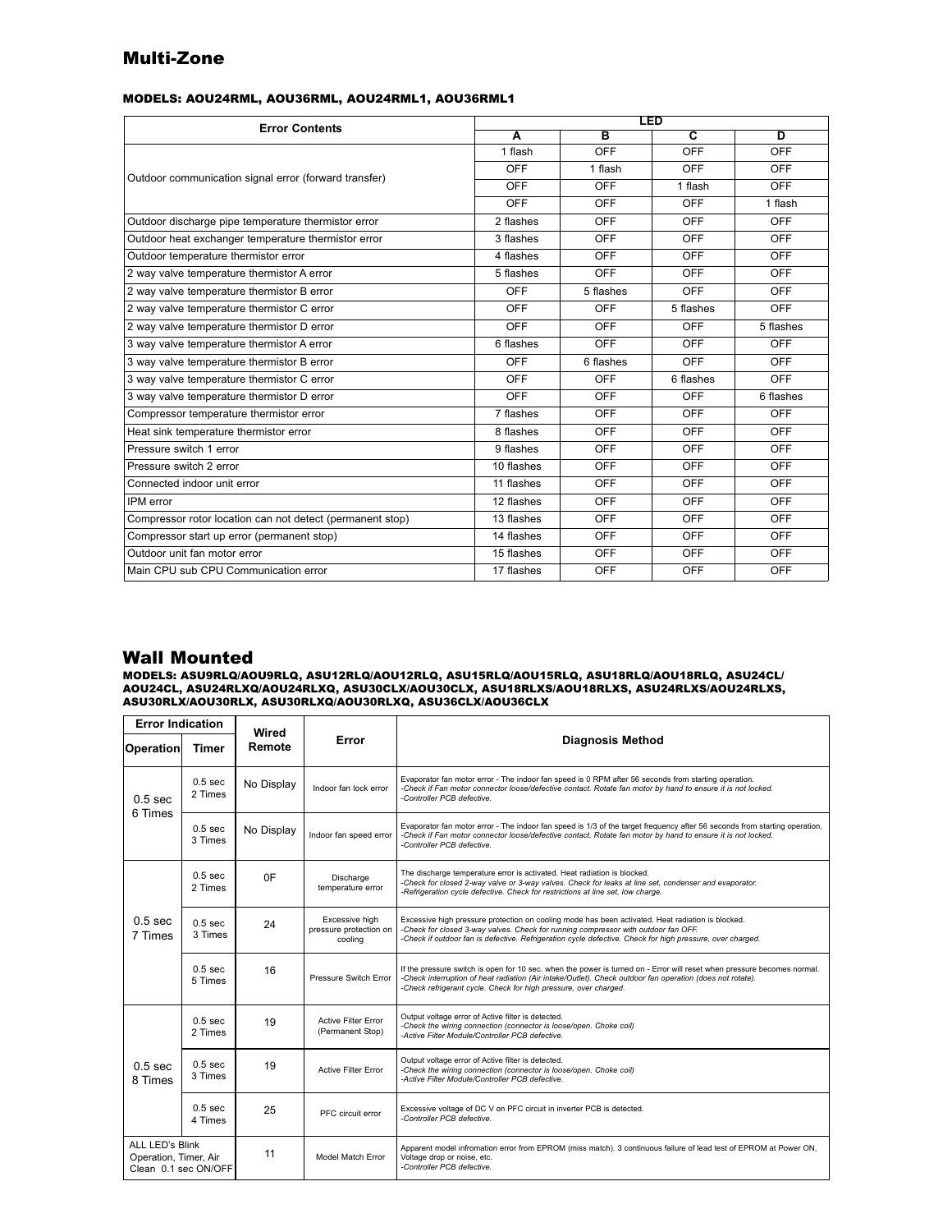## Multi-Zone

#### MODELS: AOU24RML, AOU36RML, AOU24RML1, AOU36RML1

| <b>Error Contents</b>                                     | <b>LED</b>              |                         |                         |                |  |  |
|-----------------------------------------------------------|-------------------------|-------------------------|-------------------------|----------------|--|--|
|                                                           | $\overline{\mathbf{A}}$ | $\overline{\mathbf{B}}$ | $\overline{\mathbf{c}}$ | $\overline{D}$ |  |  |
|                                                           | 1 flash                 | <b>OFF</b>              | <b>OFF</b>              | OFF            |  |  |
| Outdoor communication signal error (forward transfer)     | OFF                     | 1 flash                 | OFF                     | OFF            |  |  |
|                                                           | OFF                     | OFF                     | 1 flash                 | OFF            |  |  |
|                                                           | OFF                     | OFF                     | OFF                     | 1 flash        |  |  |
| Outdoor discharge pipe temperature thermistor error       | 2 flashes               | OFF                     | OFF                     | OFF            |  |  |
| Outdoor heat exchanger temperature thermistor error       | 3 flashes               | OFF                     | OFF                     | OFF            |  |  |
| Outdoor temperature thermistor error                      | 4 flashes               | <b>OFF</b>              | OFF                     | <b>OFF</b>     |  |  |
| 2 way valve temperature thermistor A error                | 5 flashes               | OFF                     | OFF                     | OFF            |  |  |
| 2 way valve temperature thermistor B error                | OFF                     | 5 flashes               | <b>OFF</b>              | OFF            |  |  |
| 2 way valve temperature thermistor C error                | OFF                     | OFF                     | 5 flashes               | OFF            |  |  |
| 2 way valve temperature thermistor D error                | <b>OFF</b>              | <b>OFF</b>              | OFF                     | 5 flashes      |  |  |
| 3 way valve temperature thermistor A error                | 6 flashes               | OFF                     | OFF                     | OFF            |  |  |
| 3 way valve temperature thermistor B error                | OFF                     | 6 flashes               | OFF                     | OFF            |  |  |
| 3 way valve temperature thermistor C error                | OFF                     | <b>OFF</b>              | 6 flashes               | OFF            |  |  |
| 3 way valve temperature thermistor D error                | OFF                     | OFF                     | OFF                     | 6 flashes      |  |  |
| Compressor temperature thermistor error                   | 7 flashes               | OFF                     | OFF                     | OFF            |  |  |
| Heat sink temperature thermistor error                    | 8 flashes               | OFF                     | OFF                     | OFF            |  |  |
| Pressure switch 1 error                                   | 9 flashes               | <b>OFF</b>              | <b>OFF</b>              | OFF            |  |  |
| Pressure switch 2 error                                   | 10 flashes              | <b>OFF</b>              | OFF                     | OFF            |  |  |
| Connected indoor unit error                               | 11 flashes              | OFF                     | OFF                     | OFF            |  |  |
| IPM error                                                 | 12 flashes              | <b>OFF</b>              | <b>OFF</b>              | <b>OFF</b>     |  |  |
| Compressor rotor location can not detect (permanent stop) | 13 flashes              | OFF                     | OFF                     | OFF            |  |  |
| Compressor start up error (permanent stop)                | 14 flashes              | OFF                     | OFF                     | OFF            |  |  |
| Outdoor unit fan motor error                              | 15 flashes              | <b>OFF</b>              | <b>OFF</b>              | <b>OFF</b>     |  |  |
| Main CPU sub CPU Communication error                      | 17 flashes              | <b>OFF</b>              | <b>OFF</b>              | <b>OFF</b>     |  |  |

### Wall Mounted

MODELS: ASU9RLQ/AOU9RLQ, ASU12RLQ/AOU12RLQ, ASU15RLQ/AOU15RLQ, ASU18RLQ/AOU18RLQ, ASU24CL/ AOU24CL, ASU24RLXQ/AOU24RLXQ, ASU30CLX/AOU30CLX, ASU18RLXS/AOU18RLXS, ASU24RLXS/AOU24RLXS, ASU30RLX/AOU30RLX, ASU30RLXQ/AOU30RLXQ, ASU36CLX/AOU36CLX

| <b>Error Indication</b>                                          |                                                                                       |                 |                                                     |                                                                                                                                                                                                                                                                                                          |  |  |  |  |
|------------------------------------------------------------------|---------------------------------------------------------------------------------------|-----------------|-----------------------------------------------------|----------------------------------------------------------------------------------------------------------------------------------------------------------------------------------------------------------------------------------------------------------------------------------------------------------|--|--|--|--|
| <b>Operation</b>                                                 | <b>Timer</b>                                                                          | Wired<br>Remote | Error                                               | <b>Diagnosis Method</b>                                                                                                                                                                                                                                                                                  |  |  |  |  |
| 0.5 <sub>sec</sub><br>6 Times                                    | $0.5$ sec<br>2 Times                                                                  | No Display      | Indoor fan lock error                               | Evaporator fan motor error - The indoor fan speed is 0 RPM after 56 seconds from starting operation.<br>-Check if Fan motor connector loose/defective contact. Rotate fan motor by hand to ensure it is not locked.<br>-Controller PCB defective.                                                        |  |  |  |  |
|                                                                  | $0.5$ sec<br>3 Times                                                                  | No Display      | Indoor fan speed error                              | Evaporator fan motor error - The indoor fan speed is 1/3 of the target frequency after 56 seconds from starting operation.<br>-Check if Fan motor connector loose/defective contact. Rotate fan motor by hand to ensure it is not locked.<br>-Controller PCB defective.                                  |  |  |  |  |
|                                                                  | $0.5$ sec<br>2 Times                                                                  | 0F              | Discharge<br>temperature error                      | The discharge temperature error is activated. Heat radiation is blocked.<br>-Check for closed 2-way valve or 3-way valves. Check for leaks at line set, condenser and evaporator.<br>-Refrigeration cycle defective. Check for restrictions at line set, low charge.                                     |  |  |  |  |
| $0.5$ sec<br>7 Times                                             | $0.5$ sec<br>3 Times                                                                  | 24              | Excessive high<br>pressure protection on<br>cooling | Excessive high pressure protection on cooling mode has been activated. Heat radiation is blocked.<br>-Check for closed 3-way valves. Check for running compressor with outdoor fan OFF.<br>-Check if outdoor fan is defective. Refrigeration cycle defective. Check for high pressure, over charged.     |  |  |  |  |
|                                                                  | 0.5 <sub>sec</sub><br>5 Times                                                         | 16              | Pressure Switch Error                               | If the pressure switch is open for 10 sec. when the power is turned on - Error will reset when pressure becomes normal.<br>-Check interruption of heat radiation (Air intake/Outlet). Check outdoor fan operation (does not rotate).<br>-Check refrigerant cycle. Check for high pressure, over charged. |  |  |  |  |
|                                                                  | 0.5 <sub>sec</sub><br>19<br><b>Active Filter Error</b><br>(Permanent Stop)<br>2 Times |                 |                                                     | Output voltage error of Active filter is detected.<br>-Check the wiring connection (connector is loose/open. Choke coil)<br>-Active Filter Module/Controller PCB defective.                                                                                                                              |  |  |  |  |
| $0.5$ sec<br>8 Times                                             | $0.5$ sec<br>3 Times                                                                  | 19              | <b>Active Filter Error</b>                          | Output voltage error of Active filter is detected.<br>-Check the wiring connection (connector is loose/open. Choke coil)<br>-Active Filter Module/Controller PCB defective.                                                                                                                              |  |  |  |  |
|                                                                  | $0.5$ sec<br>4 Times                                                                  | 25              | PFC circuit error                                   | Excessive voltage of DC V on PFC circuit in inverter PCB is detected.<br>-Controller PCB defective.                                                                                                                                                                                                      |  |  |  |  |
| ALL LED's Blink<br>Operation, Timer, Air<br>Clean 0.1 sec ON/OFF |                                                                                       | 11              | Model Match Error                                   | Apparent model infromation error from EPROM (miss match). 3 continuous failure of lead test of EPROM at Power ON,<br>Voltage drop or noise, etc.<br>-Controller PCB defective.                                                                                                                           |  |  |  |  |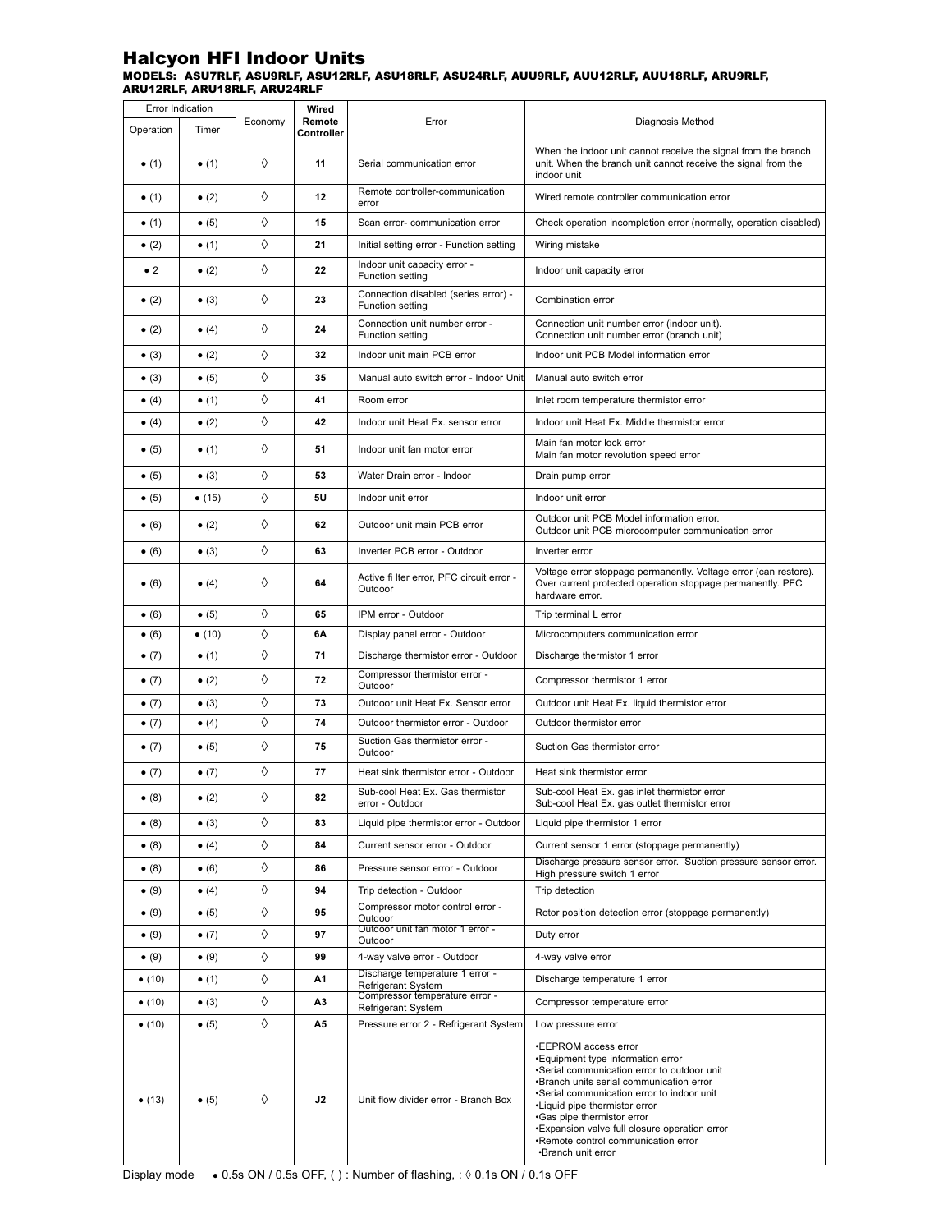#### MODELS: ASU7RLF, ASU9RLF, ASU12RLF, ASU18RLF, ASU24RLF, AUU9RLF, AUU12RLF, AUU18RLF, ARU9RLF, ARU12RLF, ARU18RLF, ARU24RLF Halcyon HFI Indoor Units

|                | Error Indication |         | Wired                |                                                                                                                                                                              |                                                                                                                                                                                                                                                                                                                                                                                 |  |
|----------------|------------------|---------|----------------------|------------------------------------------------------------------------------------------------------------------------------------------------------------------------------|---------------------------------------------------------------------------------------------------------------------------------------------------------------------------------------------------------------------------------------------------------------------------------------------------------------------------------------------------------------------------------|--|
| Operation      | Timer            | Economy | Remote<br>Controller | Error                                                                                                                                                                        | Diagnosis Method                                                                                                                                                                                                                                                                                                                                                                |  |
| $\bullet$ (1)  | $\bullet$ (1)    | ♦       | 11                   | When the indoor unit cannot receive the signal from the branch<br>Serial communication error<br>unit. When the branch unit cannot receive the signal from the<br>indoor unit |                                                                                                                                                                                                                                                                                                                                                                                 |  |
| $\bullet$ (1)  | $\bullet$ (2)    | ♦       | 12                   | Remote controller-communication<br>error                                                                                                                                     | Wired remote controller communication error                                                                                                                                                                                                                                                                                                                                     |  |
| $\bullet$ (1)  | $\bullet$ (5)    | ♦       | 15                   | Scan error- communication error                                                                                                                                              | Check operation incompletion error (normally, operation disabled)                                                                                                                                                                                                                                                                                                               |  |
| $\bullet$ (2)  | $\bullet$ (1)    | ♦       | 21                   | Initial setting error - Function setting                                                                                                                                     | Wiring mistake                                                                                                                                                                                                                                                                                                                                                                  |  |
| $\bullet$ 2    | $\bullet$ (2)    | ♦       | 22                   | Indoor unit capacity error -<br>Function setting                                                                                                                             | Indoor unit capacity error                                                                                                                                                                                                                                                                                                                                                      |  |
| $\bullet$ (2)  | $\bullet$ (3)    | ♦       | 23                   | Connection disabled (series error) -<br>Function setting                                                                                                                     | Combination error                                                                                                                                                                                                                                                                                                                                                               |  |
| $\bullet$ (2)  | $\bullet$ (4)    | ♦       | 24                   | Connection unit number error -<br><b>Function setting</b>                                                                                                                    | Connection unit number error (indoor unit).<br>Connection unit number error (branch unit)                                                                                                                                                                                                                                                                                       |  |
| $\bullet$ (3)  | $\bullet$ (2)    | ♦       | 32                   | Indoor unit main PCB error                                                                                                                                                   | Indoor unit PCB Model information error                                                                                                                                                                                                                                                                                                                                         |  |
| $\bullet$ (3)  | $\bullet$ (5)    | ♦       | 35                   | Manual auto switch error - Indoor Unit                                                                                                                                       | Manual auto switch error                                                                                                                                                                                                                                                                                                                                                        |  |
| $\bullet$ (4)  | $\bullet$ (1)    | ♦       | 41                   | Room error                                                                                                                                                                   | Inlet room temperature thermistor error                                                                                                                                                                                                                                                                                                                                         |  |
| $\bullet$ (4)  | $\bullet$ (2)    | ♦       | 42                   | Indoor unit Heat Ex. sensor error                                                                                                                                            | Indoor unit Heat Ex. Middle thermistor error                                                                                                                                                                                                                                                                                                                                    |  |
| $\bullet$ (5)  | $\bullet$ (1)    | ♦       | 51                   | Indoor unit fan motor error                                                                                                                                                  | Main fan motor lock error<br>Main fan motor revolution speed error                                                                                                                                                                                                                                                                                                              |  |
| $\bullet$ (5)  | $\bullet$ (3)    | ♦       | 53                   | Water Drain error - Indoor                                                                                                                                                   | Drain pump error                                                                                                                                                                                                                                                                                                                                                                |  |
| $\bullet$ (5)  | $\bullet$ (15)   | ♦       | 5U                   | Indoor unit error                                                                                                                                                            | Indoor unit error                                                                                                                                                                                                                                                                                                                                                               |  |
| $\bullet$ (6)  | $\bullet$ (2)    | ♦       | 62                   | Outdoor unit main PCB error                                                                                                                                                  | Outdoor unit PCB Model information error.<br>Outdoor unit PCB microcomputer communication error                                                                                                                                                                                                                                                                                 |  |
| $\bullet$ (6)  | $\bullet$ (3)    | ♦       | 63                   | Inverter PCB error - Outdoor                                                                                                                                                 | Inverter error                                                                                                                                                                                                                                                                                                                                                                  |  |
| $\bullet$ (6)  | $\bullet$ (4)    | ♦       | 64                   | Active fi Iter error, PFC circuit error -<br>Outdoor                                                                                                                         | Voltage error stoppage permanently. Voltage error (can restore).<br>Over current protected operation stoppage permanently. PFC<br>hardware error.                                                                                                                                                                                                                               |  |
| $\bullet$ (6)  | $\bullet$ (5)    | ♦       | 65                   | IPM error - Outdoor                                                                                                                                                          | Trip terminal L error                                                                                                                                                                                                                                                                                                                                                           |  |
| $\bullet$ (6)  | • (10)           | ♦       | 6A                   | Display panel error - Outdoor                                                                                                                                                | Microcomputers communication error                                                                                                                                                                                                                                                                                                                                              |  |
| $\bullet$ (7)  | $\bullet$ (1)    | ♦       | 71                   | Discharge thermistor error - Outdoor                                                                                                                                         | Discharge thermistor 1 error                                                                                                                                                                                                                                                                                                                                                    |  |
| $\bullet$ (7)  | $\bullet$ (2)    | ♦       | 72                   | Compressor thermistor error -<br>Outdoor                                                                                                                                     | Compressor thermistor 1 error                                                                                                                                                                                                                                                                                                                                                   |  |
| $\bullet$ (7)  | $\bullet$ (3)    | ♦       | 73                   | Outdoor unit Heat Ex. Sensor error                                                                                                                                           | Outdoor unit Heat Ex. liquid thermistor error                                                                                                                                                                                                                                                                                                                                   |  |
| $\bullet$ (7)  | $\bullet$ (4)    | ♦       | 74                   | Outdoor thermistor error - Outdoor                                                                                                                                           | Outdoor thermistor error                                                                                                                                                                                                                                                                                                                                                        |  |
| $\bullet$ (7)  | $\bullet$ (5)    | ♦       | 75                   | Suction Gas thermistor error -<br>Outdoor                                                                                                                                    | Suction Gas thermistor error                                                                                                                                                                                                                                                                                                                                                    |  |
| $\bullet$ (7)  | $\bullet$ (7)    | ♦       | 77                   | Heat sink thermistor error - Outdoor                                                                                                                                         | Heat sink thermistor error                                                                                                                                                                                                                                                                                                                                                      |  |
| $\bullet$ (8)  | $\bullet$ (2)    | ♦       | 82                   | Sub-cool Heat Ex. Gas thermistor<br>error - Outdoor                                                                                                                          | Sub-cool Heat Ex. gas inlet thermistor error<br>Sub-cool Heat Ex. gas outlet thermistor error                                                                                                                                                                                                                                                                                   |  |
| $\bullet$ (8)  | $\bullet$ (3)    | ♦       | 83                   | Liquid pipe thermistor error - Outdoor                                                                                                                                       | Liquid pipe thermistor 1 error                                                                                                                                                                                                                                                                                                                                                  |  |
| $\bullet$ (8)  | $\bullet$ (4)    | ♦       | 84                   | Current sensor error - Outdoor                                                                                                                                               | Current sensor 1 error (stoppage permanently)                                                                                                                                                                                                                                                                                                                                   |  |
| $\bullet$ (8)  | $\bullet$ (6)    | ♦       | 86                   | Pressure sensor error - Outdoor                                                                                                                                              | Discharge pressure sensor error. Suction pressure sensor error.<br>High pressure switch 1 error                                                                                                                                                                                                                                                                                 |  |
| $\bullet$ (9)  | $\bullet$ (4)    | ♦       | 94                   | Trip detection - Outdoor                                                                                                                                                     | Trip detection                                                                                                                                                                                                                                                                                                                                                                  |  |
| $\bullet$ (9)  | $\bullet$ (5)    | ♦       | 95                   | Compressor motor control error -<br>Outdoor                                                                                                                                  | Rotor position detection error (stoppage permanently)                                                                                                                                                                                                                                                                                                                           |  |
| $\bullet$ (9)  | $\bullet$ (7)    | ♦       | 97                   | Outdoor unit fan motor 1 error -<br>Outdoor                                                                                                                                  | Duty error                                                                                                                                                                                                                                                                                                                                                                      |  |
| $\bullet$ (9)  | $\bullet$ (9)    | ♦       | 99                   | 4-way valve error - Outdoor                                                                                                                                                  | 4-way valve error                                                                                                                                                                                                                                                                                                                                                               |  |
| $\bullet$ (10) | $\bullet$ (1)    | ♦       | A1                   | Discharge temperature 1 error -<br><b>Refrigerant System</b>                                                                                                                 | Discharge temperature 1 error                                                                                                                                                                                                                                                                                                                                                   |  |
| $\bullet$ (10) | $\bullet$ (3)    | ♦       | А3                   | Compressor temperature error -<br>Refrigerant System                                                                                                                         | Compressor temperature error                                                                                                                                                                                                                                                                                                                                                    |  |
| $\bullet$ (10) | $\bullet$ (5)    | ♦       | А5                   | Pressure error 2 - Refrigerant System                                                                                                                                        | Low pressure error                                                                                                                                                                                                                                                                                                                                                              |  |
| $\bullet$ (13) | $\bullet$ (5)    | ♦       | J2                   | Unit flow divider error - Branch Box                                                                                                                                         | •EEPROM access error<br>•Equipment type information error<br>•Serial communication error to outdoor unit<br>•Branch units serial communication error<br>•Serial communication error to indoor unit<br>•Liquid pipe thermistor error<br>•Gas pipe thermistor error<br>•Expansion valve full closure operation error<br>•Remote control communication error<br>•Branch unit error |  |